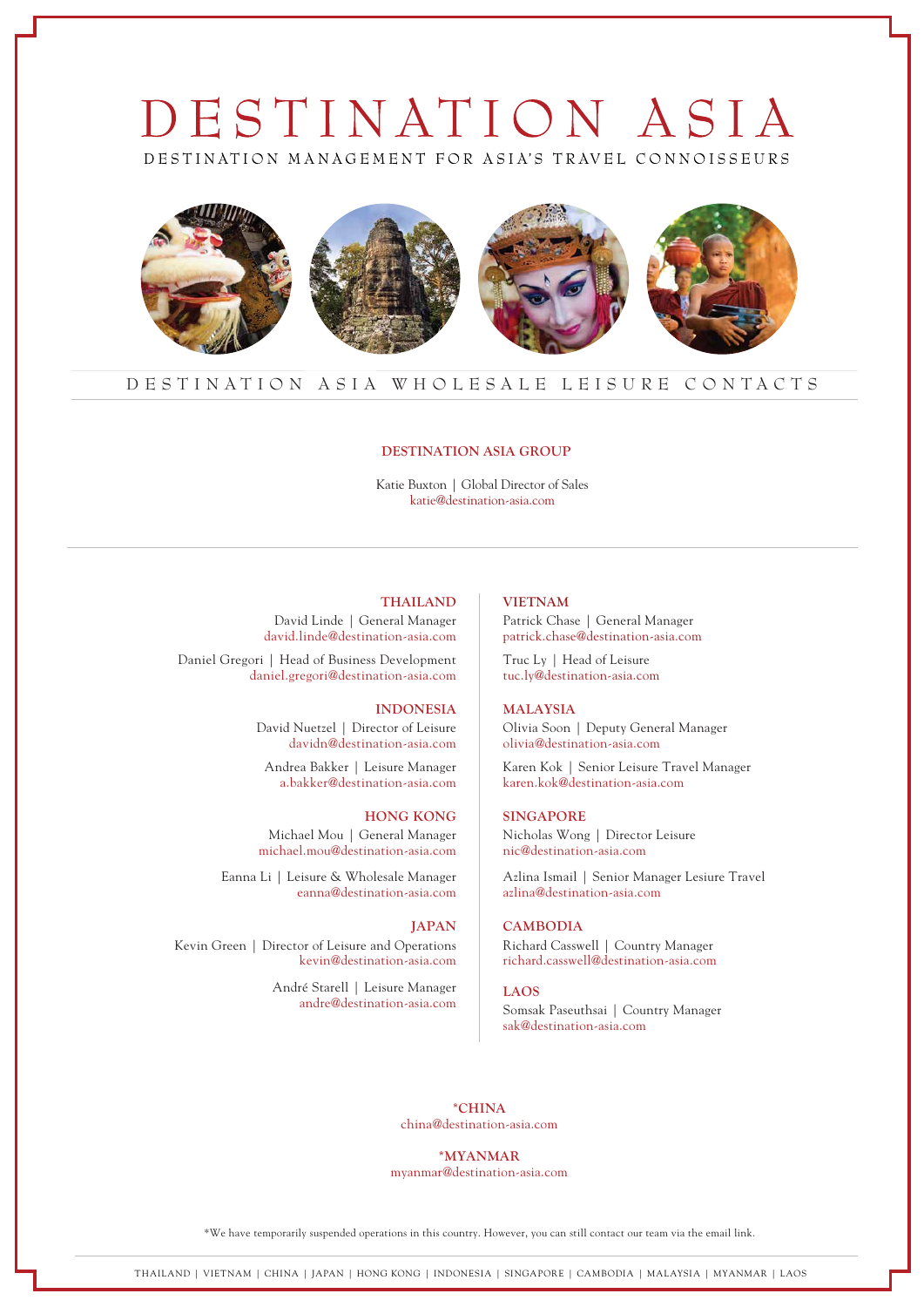# DESTINATION ASIA

DESTINATION MANAGEMENT FOR ASIA'S TRAVEL CONNOISSEURS



# DESTINATION ASIA WHOLESALE LEISURE CONTACTS

#### **DESTINATION ASIA GROUP**

Katie Buxton | Global Director of Sales katie@destination-asia.com

# **THAILAND**

David Linde | General Manager david.linde@destination-asia.com

Daniel Gregori | Head of Business Development daniel.gregori@destination-asia.com

#### **INDONESIA**

David Nuetzel | Director of Leisure davidn@destination-asia.com

Andrea Bakker | Leisure Manager a.bakker@destination-asia.com

#### **HONG KONG**

Michael Mou | General Manager michael.mou@destination-asia.com

Eanna Li | Leisure & Wholesale Manager eanna@destination-asia.com

# **JAPAN**

Kevin Green | Director of Leisure and Operations kevin@destination-asia.com

> André Starell | Leisure Manager andre@destination-asia.com

# **VIETNAM**

Patrick Chase | General Manager patrick.chase@destination-asia.com

Truc Ly | Head of Leisure tuc.ly@destination-asia.com

#### **MALAYSIA**

Olivia Soon | Deputy General Manager olivia@destination-asia.com

Karen Kok | Senior Leisure Travel Manager karen.kok@destination-asia.com

#### **SINGAPORE**

Nicholas Wong | Director Leisure nic@destination-asia.com

Azlina Ismail | Senior Manager Lesiure Travel azlina@destination-asia.com

# **CAMBODIA**

Richard Casswell | Country Manager richard.casswell@destination-asia.com

#### **LAOS**

Somsak Paseuthsai | Country Manager sak@destination-asia.com

**\*CHINA** china@destination-asia.com

#### **\*MYANMAR**

myanmar@destination-asia.com

\*We have temporarily suspended operations in this country. However, you can still contact our team via the email link.